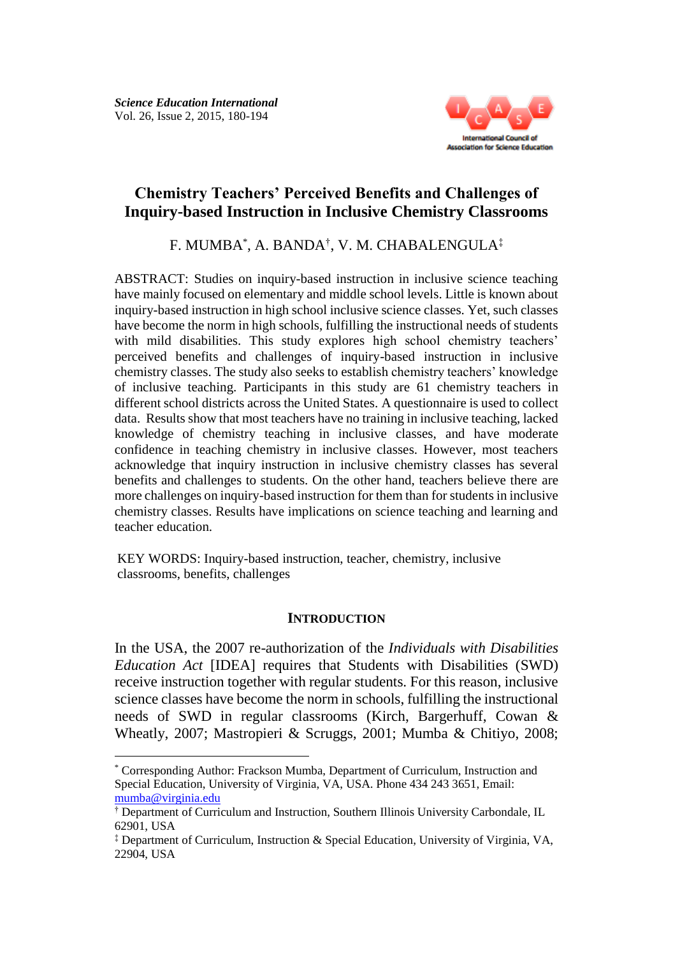

# **Chemistry Teachers' Perceived Benefits and Challenges of Inquiry-based Instruction in Inclusive Chemistry Classrooms**

# F. MUMBA\* , A. BANDA† , V. M. CHABALENGULA‡

ABSTRACT: Studies on inquiry-based instruction in inclusive science teaching have mainly focused on elementary and middle school levels. Little is known about inquiry-based instruction in high school inclusive science classes. Yet, such classes have become the norm in high schools, fulfilling the instructional needs of students with mild disabilities. This study explores high school chemistry teachers' perceived benefits and challenges of inquiry-based instruction in inclusive chemistry classes. The study also seeks to establish chemistry teachers' knowledge of inclusive teaching. Participants in this study are 61 chemistry teachers in different school districts across the United States. A questionnaire is used to collect data. Results show that most teachers have no training in inclusive teaching, lacked knowledge of chemistry teaching in inclusive classes, and have moderate confidence in teaching chemistry in inclusive classes. However, most teachers acknowledge that inquiry instruction in inclusive chemistry classes has several benefits and challenges to students. On the other hand, teachers believe there are more challenges on inquiry-based instruction for them than for students in inclusive chemistry classes. Results have implications on science teaching and learning and teacher education.

KEY WORDS: Inquiry-based instruction, teacher, chemistry, inclusive classrooms, benefits, challenges

### **INTRODUCTION**

In the USA, the 2007 re-authorization of the *Individuals with Disabilities Education Act* [IDEA] requires that Students with Disabilities (SWD) receive instruction together with regular students. For this reason, inclusive science classes have become the norm in schools, fulfilling the instructional needs of SWD in regular classrooms (Kirch, Bargerhuff, Cowan & Wheatly, 2007; Mastropieri & Scruggs, 2001; Mumba & Chitiyo, 2008;

<sup>\*</sup> Corresponding Author: Frackson Mumba, Department of Curriculum, Instruction and Special Education, University of Virginia, VA, USA. Phone 434 243 3651, Email: [mumba@virginia.edu](mailto:mumba@virginia.edu)

<sup>†</sup> Department of Curriculum and Instruction, Southern Illinois University Carbondale, IL 62901, USA

<sup>‡</sup> Department of Curriculum, Instruction & Special Education, University of Virginia, VA, 22904, USA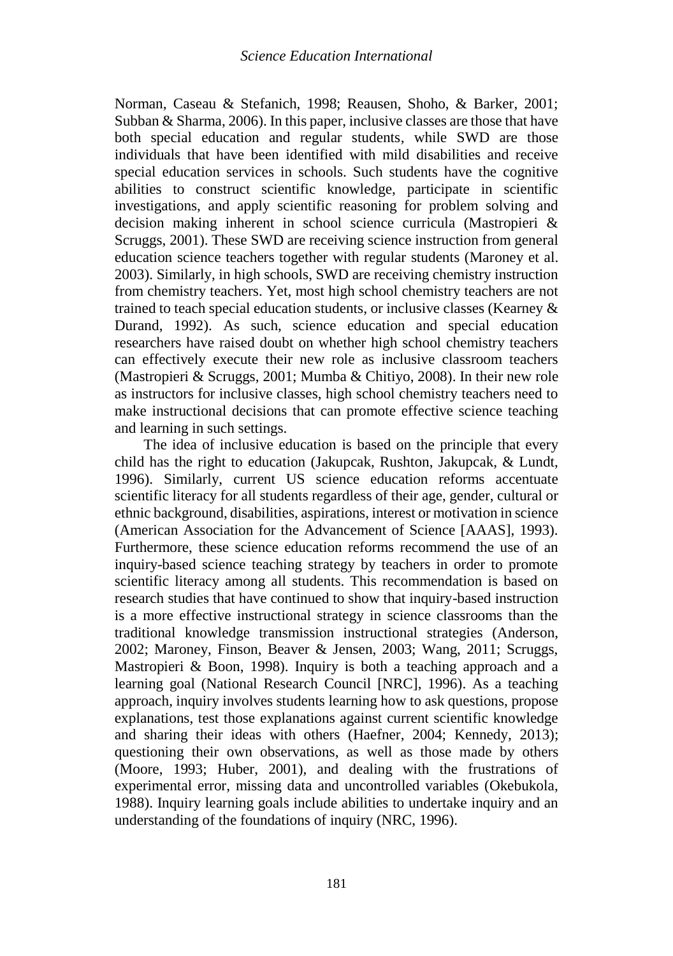Norman, Caseau & Stefanich, 1998; Reausen, Shoho, & Barker, 2001; Subban & Sharma, 2006). In this paper, inclusive classes are those that have both special education and regular students, while SWD are those individuals that have been identified with mild disabilities and receive special education services in schools. Such students have the cognitive abilities to construct scientific knowledge, participate in scientific investigations, and apply scientific reasoning for problem solving and decision making inherent in school science curricula (Mastropieri & Scruggs, 2001). These SWD are receiving science instruction from general education science teachers together with regular students (Maroney et al. 2003). Similarly, in high schools, SWD are receiving chemistry instruction from chemistry teachers. Yet, most high school chemistry teachers are not trained to teach special education students, or inclusive classes (Kearney & Durand, 1992). As such, science education and special education researchers have raised doubt on whether high school chemistry teachers can effectively execute their new role as inclusive classroom teachers (Mastropieri & Scruggs, 2001; Mumba & Chitiyo, 2008). In their new role as instructors for inclusive classes, high school chemistry teachers need to make instructional decisions that can promote effective science teaching and learning in such settings.

The idea of inclusive education is based on the principle that every child has the right to education (Jakupcak, Rushton, Jakupcak, & Lundt, 1996). Similarly, current US science education reforms accentuate scientific literacy for all students regardless of their age, gender, cultural or ethnic background, disabilities, aspirations, interest or motivation in science (American Association for the Advancement of Science [AAAS], 1993). Furthermore, these science education reforms recommend the use of an inquiry-based science teaching strategy by teachers in order to promote scientific literacy among all students. This recommendation is based on research studies that have continued to show that inquiry-based instruction is a more effective instructional strategy in science classrooms than the traditional knowledge transmission instructional strategies (Anderson, 2002; Maroney, Finson, Beaver & Jensen, 2003; Wang, 2011; Scruggs, Mastropieri & Boon, 1998). Inquiry is both a teaching approach and a learning goal (National Research Council [NRC], 1996). As a teaching approach, inquiry involves students learning how to ask questions, propose explanations, test those explanations against current scientific knowledge and sharing their ideas with others (Haefner, 2004; Kennedy, 2013); questioning their own observations, as well as those made by others (Moore, 1993; Huber, 2001), and dealing with the frustrations of experimental error, missing data and uncontrolled variables (Okebukola, 1988). Inquiry learning goals include abilities to undertake inquiry and an understanding of the foundations of inquiry (NRC, 1996).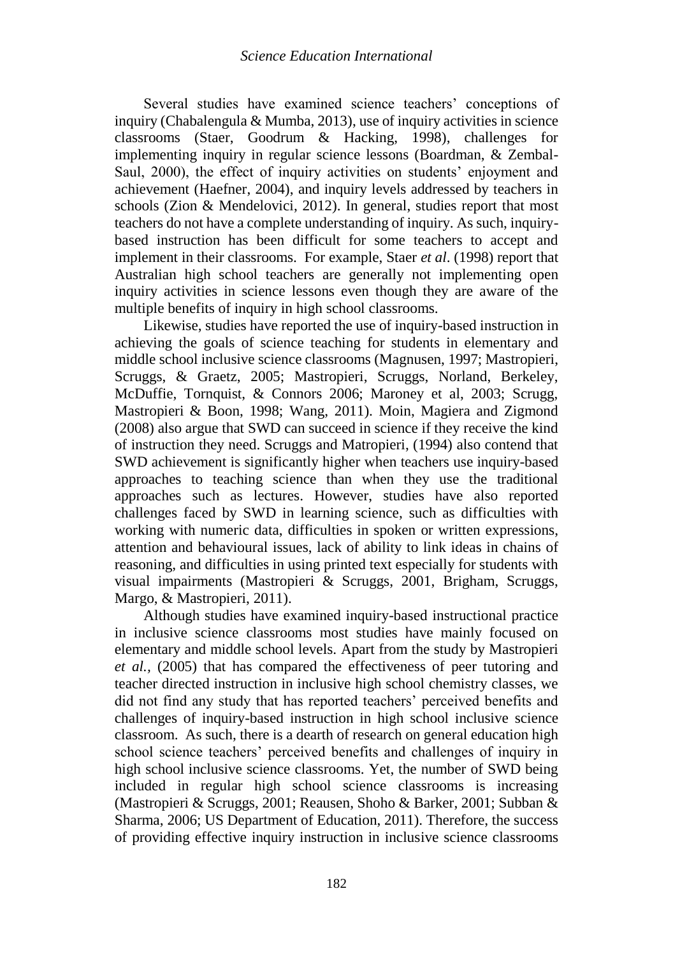Several studies have examined science teachers' conceptions of inquiry (Chabalengula & Mumba, 2013), use of inquiry activities in science classrooms (Staer, Goodrum & Hacking, 1998), challenges for implementing inquiry in regular science lessons (Boardman, & Zembal-Saul, 2000), the effect of inquiry activities on students' enjoyment and achievement (Haefner, 2004), and inquiry levels addressed by teachers in schools (Zion & Mendelovici, 2012). In general, studies report that most teachers do not have a complete understanding of inquiry. As such, inquirybased instruction has been difficult for some teachers to accept and implement in their classrooms. For example, Staer *et al*. (1998) report that Australian high school teachers are generally not implementing open inquiry activities in science lessons even though they are aware of the multiple benefits of inquiry in high school classrooms.

Likewise, studies have reported the use of inquiry-based instruction in achieving the goals of science teaching for students in elementary and middle school inclusive science classrooms (Magnusen, 1997; Mastropieri, Scruggs, & Graetz, 2005; Mastropieri, Scruggs, Norland, Berkeley, McDuffie, Tornquist, & Connors 2006; Maroney et al, 2003; Scrugg, Mastropieri & Boon, 1998; Wang, 2011). Moin, Magiera and Zigmond (2008) also argue that SWD can succeed in science if they receive the kind of instruction they need. Scruggs and Matropieri, (1994) also contend that SWD achievement is significantly higher when teachers use inquiry-based approaches to teaching science than when they use the traditional approaches such as lectures. However, studies have also reported challenges faced by SWD in learning science, such as difficulties with working with numeric data, difficulties in spoken or written expressions, attention and behavioural issues, lack of ability to link ideas in chains of reasoning, and difficulties in using printed text especially for students with visual impairments (Mastropieri & Scruggs, 2001, Brigham, Scruggs, Margo, & Mastropieri, 2011).

Although studies have examined inquiry-based instructional practice in inclusive science classrooms most studies have mainly focused on elementary and middle school levels. Apart from the study by Mastropieri *et al.,* (2005) that has compared the effectiveness of peer tutoring and teacher directed instruction in inclusive high school chemistry classes, we did not find any study that has reported teachers' perceived benefits and challenges of inquiry-based instruction in high school inclusive science classroom. As such, there is a dearth of research on general education high school science teachers' perceived benefits and challenges of inquiry in high school inclusive science classrooms. Yet, the number of SWD being included in regular high school science classrooms is increasing (Mastropieri & Scruggs, 2001; Reausen, Shoho & Barker, 2001; Subban & Sharma, 2006; US Department of Education, 2011). Therefore, the success of providing effective inquiry instruction in inclusive science classrooms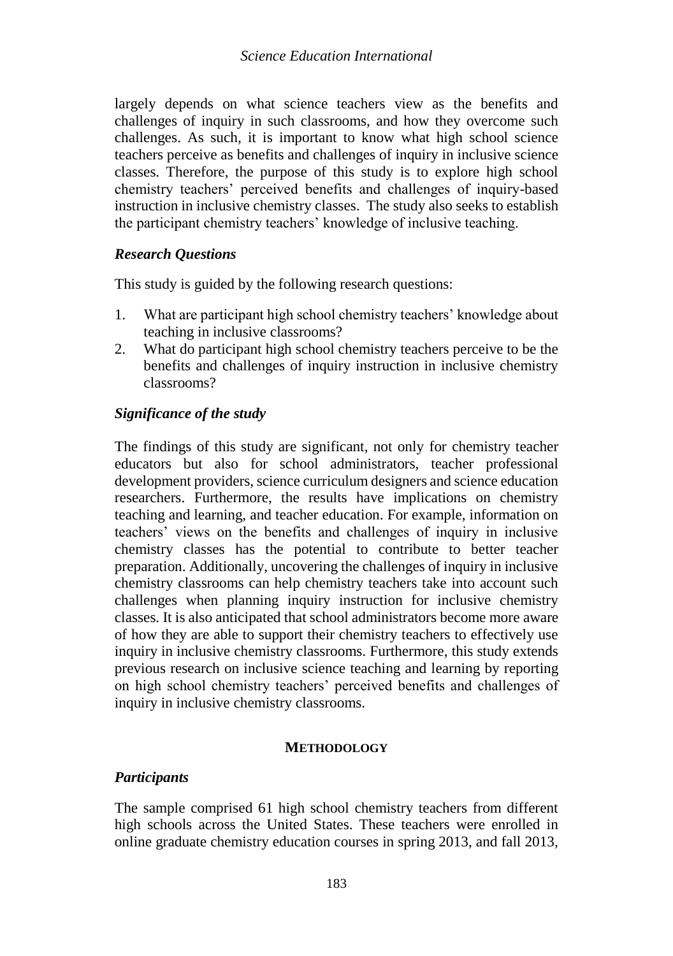largely depends on what science teachers view as the benefits and challenges of inquiry in such classrooms, and how they overcome such challenges. As such, it is important to know what high school science teachers perceive as benefits and challenges of inquiry in inclusive science classes. Therefore, the purpose of this study is to explore high school chemistry teachers' perceived benefits and challenges of inquiry-based instruction in inclusive chemistry classes. The study also seeks to establish the participant chemistry teachers' knowledge of inclusive teaching.

## *Research Questions*

This study is guided by the following research questions:

- 1. What are participant high school chemistry teachers' knowledge about teaching in inclusive classrooms?
- 2. What do participant high school chemistry teachers perceive to be the benefits and challenges of inquiry instruction in inclusive chemistry classrooms?

## *Significance of the study*

The findings of this study are significant, not only for chemistry teacher educators but also for school administrators, teacher professional development providers, science curriculum designers and science education researchers. Furthermore, the results have implications on chemistry teaching and learning, and teacher education. For example, information on teachers' views on the benefits and challenges of inquiry in inclusive chemistry classes has the potential to contribute to better teacher preparation. Additionally, uncovering the challenges of inquiry in inclusive chemistry classrooms can help chemistry teachers take into account such challenges when planning inquiry instruction for inclusive chemistry classes. It is also anticipated that school administrators become more aware of how they are able to support their chemistry teachers to effectively use inquiry in inclusive chemistry classrooms. Furthermore, this study extends previous research on inclusive science teaching and learning by reporting on high school chemistry teachers' perceived benefits and challenges of inquiry in inclusive chemistry classrooms.

### **METHODOLOGY**

### *Participants*

The sample comprised 61 high school chemistry teachers from different high schools across the United States. These teachers were enrolled in online graduate chemistry education courses in spring 2013, and fall 2013,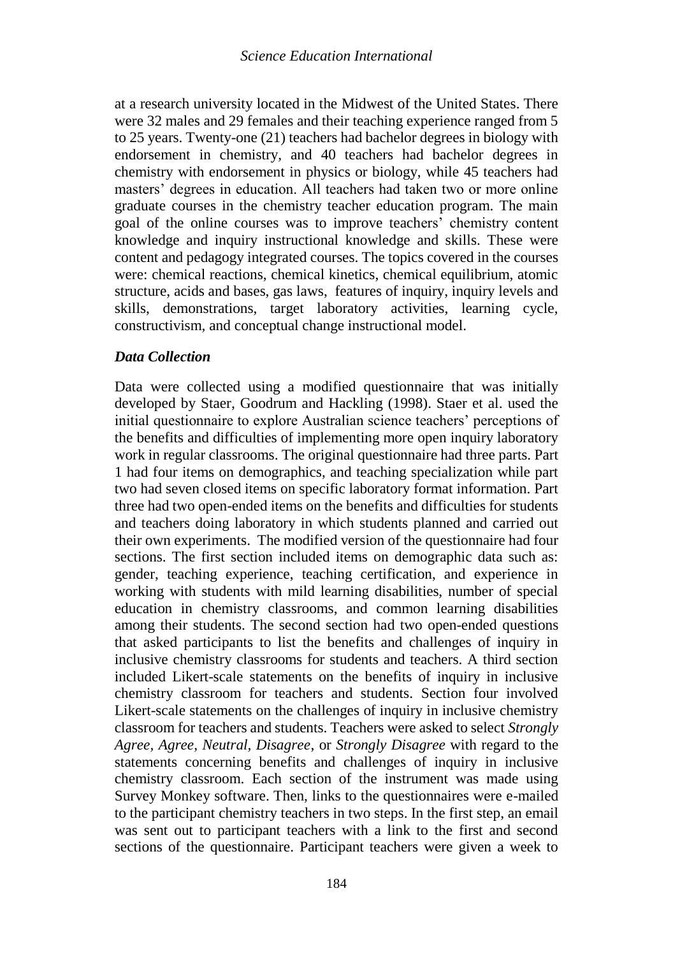at a research university located in the Midwest of the United States. There were 32 males and 29 females and their teaching experience ranged from 5 to 25 years. Twenty-one (21) teachers had bachelor degrees in biology with endorsement in chemistry, and 40 teachers had bachelor degrees in chemistry with endorsement in physics or biology, while 45 teachers had masters' degrees in education. All teachers had taken two or more online graduate courses in the chemistry teacher education program. The main goal of the online courses was to improve teachers' chemistry content knowledge and inquiry instructional knowledge and skills. These were content and pedagogy integrated courses. The topics covered in the courses were: chemical reactions, chemical kinetics, chemical equilibrium, atomic structure, acids and bases, gas laws, features of inquiry, inquiry levels and skills, demonstrations, target laboratory activities, learning cycle, constructivism, and conceptual change instructional model.

### *Data Collection*

Data were collected using a modified questionnaire that was initially developed by Staer, Goodrum and Hackling (1998). Staer et al. used the initial questionnaire to explore Australian science teachers' perceptions of the benefits and difficulties of implementing more open inquiry laboratory work in regular classrooms. The original questionnaire had three parts. Part 1 had four items on demographics, and teaching specialization while part two had seven closed items on specific laboratory format information. Part three had two open-ended items on the benefits and difficulties for students and teachers doing laboratory in which students planned and carried out their own experiments. The modified version of the questionnaire had four sections. The first section included items on demographic data such as: gender, teaching experience, teaching certification, and experience in working with students with mild learning disabilities, number of special education in chemistry classrooms, and common learning disabilities among their students. The second section had two open-ended questions that asked participants to list the benefits and challenges of inquiry in inclusive chemistry classrooms for students and teachers. A third section included Likert-scale statements on the benefits of inquiry in inclusive chemistry classroom for teachers and students. Section four involved Likert-scale statements on the challenges of inquiry in inclusive chemistry classroom for teachers and students. Teachers were asked to select *Strongly Agree, Agree, Neutral, Disagree*, or *Strongly Disagree* with regard to the statements concerning benefits and challenges of inquiry in inclusive chemistry classroom. Each section of the instrument was made using Survey Monkey software. Then, links to the questionnaires were e-mailed to the participant chemistry teachers in two steps. In the first step, an email was sent out to participant teachers with a link to the first and second sections of the questionnaire. Participant teachers were given a week to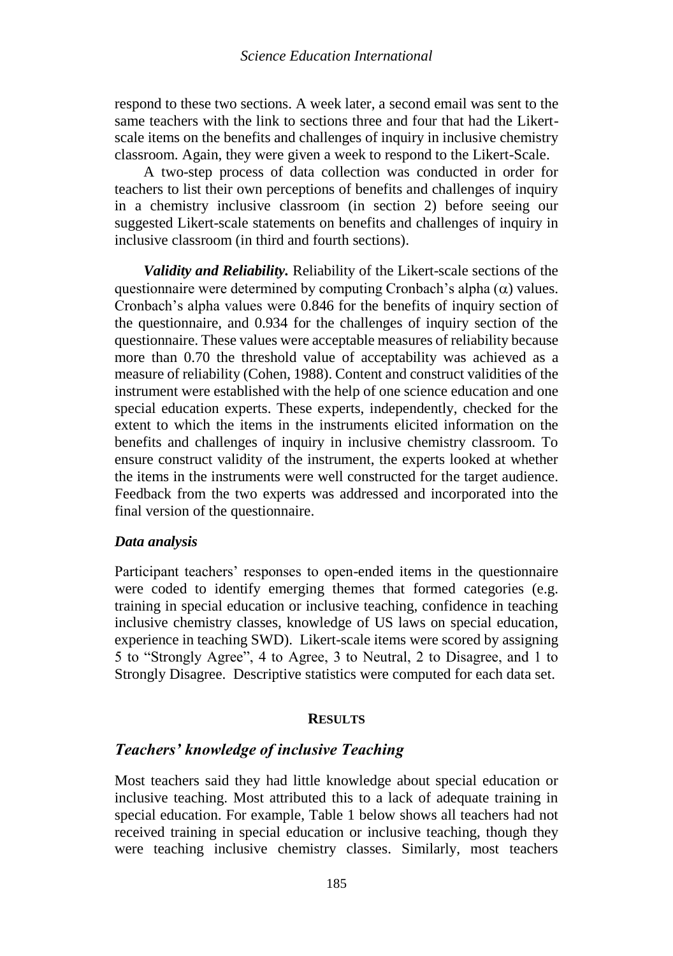respond to these two sections. A week later, a second email was sent to the same teachers with the link to sections three and four that had the Likertscale items on the benefits and challenges of inquiry in inclusive chemistry classroom. Again, they were given a week to respond to the Likert-Scale.

A two-step process of data collection was conducted in order for teachers to list their own perceptions of benefits and challenges of inquiry in a chemistry inclusive classroom (in section 2) before seeing our suggested Likert-scale statements on benefits and challenges of inquiry in inclusive classroom (in third and fourth sections).

*Validity and Reliability.* Reliability of the Likert-scale sections of the questionnaire were determined by computing Cronbach's alpha  $(\alpha)$  values. Cronbach's alpha values were 0.846 for the benefits of inquiry section of the questionnaire, and 0.934 for the challenges of inquiry section of the questionnaire. These values were acceptable measures of reliability because more than 0.70 the threshold value of acceptability was achieved as a measure of reliability (Cohen, 1988). Content and construct validities of the instrument were established with the help of one science education and one special education experts. These experts, independently, checked for the extent to which the items in the instruments elicited information on the benefits and challenges of inquiry in inclusive chemistry classroom. To ensure construct validity of the instrument, the experts looked at whether the items in the instruments were well constructed for the target audience. Feedback from the two experts was addressed and incorporated into the final version of the questionnaire.

#### *Data analysis*

Participant teachers' responses to open-ended items in the questionnaire were coded to identify emerging themes that formed categories (e.g. training in special education or inclusive teaching, confidence in teaching inclusive chemistry classes, knowledge of US laws on special education, experience in teaching SWD). Likert-scale items were scored by assigning 5 to "Strongly Agree", 4 to Agree, 3 to Neutral, 2 to Disagree, and 1 to Strongly Disagree. Descriptive statistics were computed for each data set.

### **RESULTS**

### *Teachers' knowledge of inclusive Teaching*

Most teachers said they had little knowledge about special education or inclusive teaching. Most attributed this to a lack of adequate training in special education. For example, Table 1 below shows all teachers had not received training in special education or inclusive teaching, though they were teaching inclusive chemistry classes. Similarly, most teachers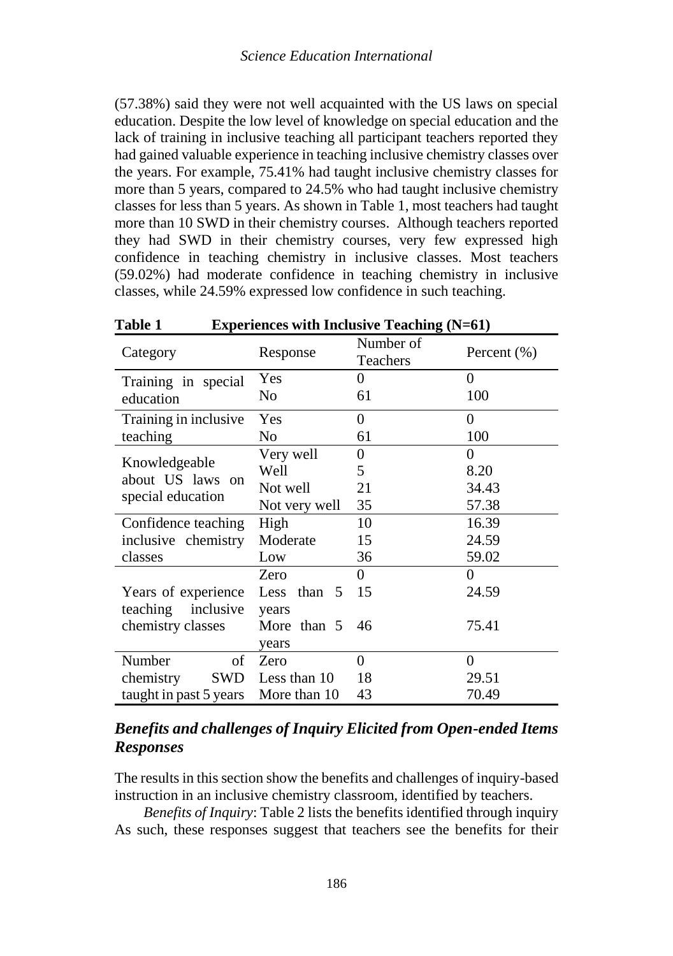(57.38%) said they were not well acquainted with the US laws on special education. Despite the low level of knowledge on special education and the lack of training in inclusive teaching all participant teachers reported they had gained valuable experience in teaching inclusive chemistry classes over the years. For example, 75.41% had taught inclusive chemistry classes for more than 5 years, compared to 24.5% who had taught inclusive chemistry classes for less than 5 years. As shown in Table 1, most teachers had taught more than 10 SWD in their chemistry courses. Although teachers reported they had SWD in their chemistry courses, very few expressed high confidence in teaching chemistry in inclusive classes. Most teachers (59.02%) had moderate confidence in teaching chemistry in inclusive classes, while 24.59% expressed low confidence in such teaching.

| rabie 1<br>Experiences with inclusive Teaching (N=61) |               |                       |                  |  |  |  |
|-------------------------------------------------------|---------------|-----------------------|------------------|--|--|--|
| Category                                              | Response      | Number of<br>Teachers | Percent $(\% )$  |  |  |  |
| Training in special                                   | Yes           | 0                     | 0                |  |  |  |
| education                                             | No            | 61                    | 100              |  |  |  |
| Training in inclusive                                 | Yes           | $\Omega$              | 0                |  |  |  |
| teaching                                              | No            | 61                    | 100              |  |  |  |
|                                                       | Very well     | 0                     | 0                |  |  |  |
| Knowledgeable                                         | Well          | 5                     | 8.20             |  |  |  |
| about US laws on                                      | Not well      | 21                    | 34.43            |  |  |  |
| special education                                     | Not very well | 35                    | 57.38            |  |  |  |
| Confidence teaching                                   | High          | 10                    | 16.39            |  |  |  |
| inclusive chemistry                                   | Moderate      | 15                    | 24.59            |  |  |  |
| classes                                               | Low           | 36                    | 59.02            |  |  |  |
|                                                       | Zero          | 0                     | 0                |  |  |  |
| Years of experience                                   | Less than 5   | 15                    | 24.59            |  |  |  |
| teaching<br>inclusive                                 | years         |                       |                  |  |  |  |
| chemistry classes                                     | More than 5   | 46                    | 75.41            |  |  |  |
|                                                       | vears         |                       |                  |  |  |  |
| Number<br>of                                          | Zero          | 0                     | $\boldsymbol{0}$ |  |  |  |
| chemistry<br>SWD                                      | Less than 10  | 18                    | 29.51            |  |  |  |
| taught in past 5 years                                | More than 10  | 43                    | 70.49            |  |  |  |

| Table 1 | Experiences with Inclusive Teaching $(N=61)$ |
|---------|----------------------------------------------|
|         | $N$ $\alpha$ $\beta$                         |

# *Benefits and challenges of Inquiry Elicited from Open-ended Items Responses*

The results in this section show the benefits and challenges of inquiry-based instruction in an inclusive chemistry classroom, identified by teachers.

*Benefits of Inquiry*: Table 2 lists the benefits identified through inquiry As such, these responses suggest that teachers see the benefits for their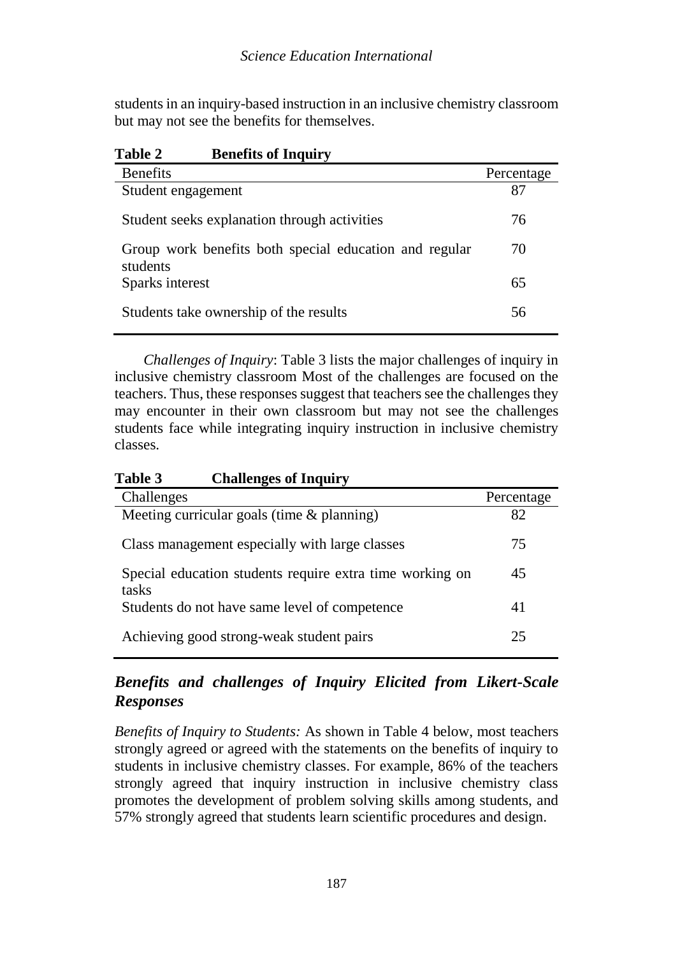students in an inquiry-based instruction in an inclusive chemistry classroom but may not see the benefits for themselves.

**Table 2 Benefits of Inquiry**

| <b>Benefits</b>                                                    | Percentage |
|--------------------------------------------------------------------|------------|
| Student engagement                                                 | 87         |
| Student seeks explanation through activities                       | 76         |
| Group work benefits both special education and regular<br>students | 70         |
| Sparks interest                                                    | 65         |
| Students take ownership of the results                             | 56         |

*Challenges of Inquiry*: Table 3 lists the major challenges of inquiry in inclusive chemistry classroom Most of the challenges are focused on the teachers. Thus, these responses suggest that teachers see the challenges they may encounter in their own classroom but may not see the challenges students face while integrating inquiry instruction in inclusive chemistry classes.

| Table 3 | <b>Challenges of Inquiry</b> |  |
|---------|------------------------------|--|
|---------|------------------------------|--|

| Challenges                                                        | Percentage |
|-------------------------------------------------------------------|------------|
| Meeting curricular goals (time $&$ planning)                      | 82         |
| Class management especially with large classes                    | 75         |
| Special education students require extra time working on<br>tasks | 45         |
| Students do not have same level of competence                     | 41         |
| Achieving good strong-weak student pairs                          | 25         |

# *Benefits and challenges of Inquiry Elicited from Likert-Scale Responses*

*Benefits of Inquiry to Students:* As shown in Table 4 below, most teachers strongly agreed or agreed with the statements on the benefits of inquiry to students in inclusive chemistry classes. For example, 86% of the teachers strongly agreed that inquiry instruction in inclusive chemistry class promotes the development of problem solving skills among students, and 57% strongly agreed that students learn scientific procedures and design.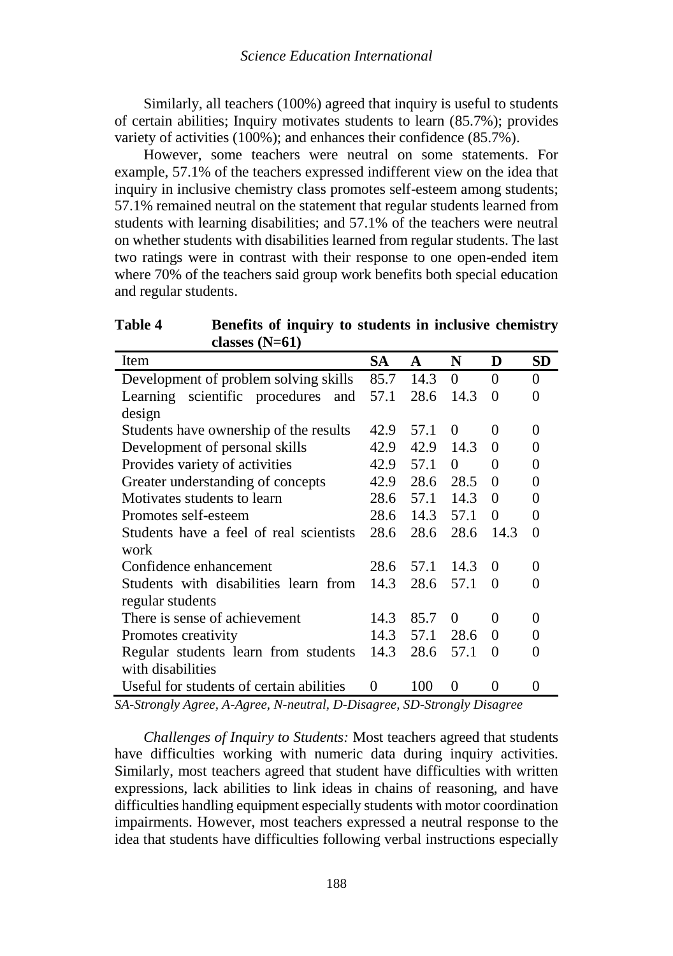Similarly, all teachers (100%) agreed that inquiry is useful to students of certain abilities; Inquiry motivates students to learn (85.7%); provides variety of activities (100%); and enhances their confidence (85.7%).

However, some teachers were neutral on some statements. For example, 57.1% of the teachers expressed indifferent view on the idea that inquiry in inclusive chemistry class promotes self-esteem among students; 57.1% remained neutral on the statement that regular students learned from students with learning disabilities; and 57.1% of the teachers were neutral on whether students with disabilities learned from regular students. The last two ratings were in contrast with their response to one open-ended item where 70% of the teachers said group work benefits both special education and regular students.

**Table 4 Benefits of inquiry to students in inclusive chemistry classes (N=61)**

| Item                                     | <b>SA</b> | A    | N        | D        | <b>SD</b>         |
|------------------------------------------|-----------|------|----------|----------|-------------------|
| Development of problem solving skills    | 85.7      | 14.3 | 0        | $\Omega$ | 0                 |
| Learning scientific procedures<br>and    | 57.1      | 28.6 | 14.3     | 0        | 0                 |
| design                                   |           |      |          |          |                   |
| Students have ownership of the results   | 42.9      | 57.1 | 0        | $\Omega$ | $\theta$          |
| Development of personal skills           | 42.9      | 42.9 | 14.3     | $\Omega$ | 0                 |
| Provides variety of activities           | 42.9      | 57.1 | $\Omega$ | $\theta$ | $\Omega$          |
| Greater understanding of concepts        | 42.9      | 28.6 | 28.5     | $\theta$ | 0                 |
| Motivates students to learn              | 28.6      | 57.1 | 14.3     | $\theta$ | 0                 |
| Promotes self-esteem                     | 28.6      | 14.3 | 57.1     | $\theta$ | $\theta$          |
| Students have a feel of real scientists  | 28.6      | 28.6 | 28.6     | 14.3     | $\Omega$          |
| work                                     |           |      |          |          |                   |
| Confidence enhancement                   | 28.6      | 57.1 | 14.3     | $\Omega$ | 0                 |
| Students with disabilities learn from    | 14.3      | 28.6 | 57.1     | $\Omega$ | $\Omega$          |
| regular students                         |           |      |          |          |                   |
| There is sense of achievement            | 14.3      | 85.7 | 0        | $\Omega$ | $\Omega$          |
| Promotes creativity                      | 14.3      | 57.1 | 28.6     | $\Omega$ | $\mathbf{\Omega}$ |
| Regular students learn from students     | 14.3      | 28.6 | 57.1     | $\theta$ | $\Omega$          |
| with disabilities                        |           |      |          |          |                   |
| Useful for students of certain abilities | 0         | 100  | $\theta$ | 0        | $\theta$          |

*SA-Strongly Agree, A-Agree, N-neutral, D-Disagree, SD-Strongly Disagree*

*Challenges of Inquiry to Students:* Most teachers agreed that students have difficulties working with numeric data during inquiry activities. Similarly, most teachers agreed that student have difficulties with written expressions, lack abilities to link ideas in chains of reasoning, and have difficulties handling equipment especially students with motor coordination impairments. However, most teachers expressed a neutral response to the idea that students have difficulties following verbal instructions especially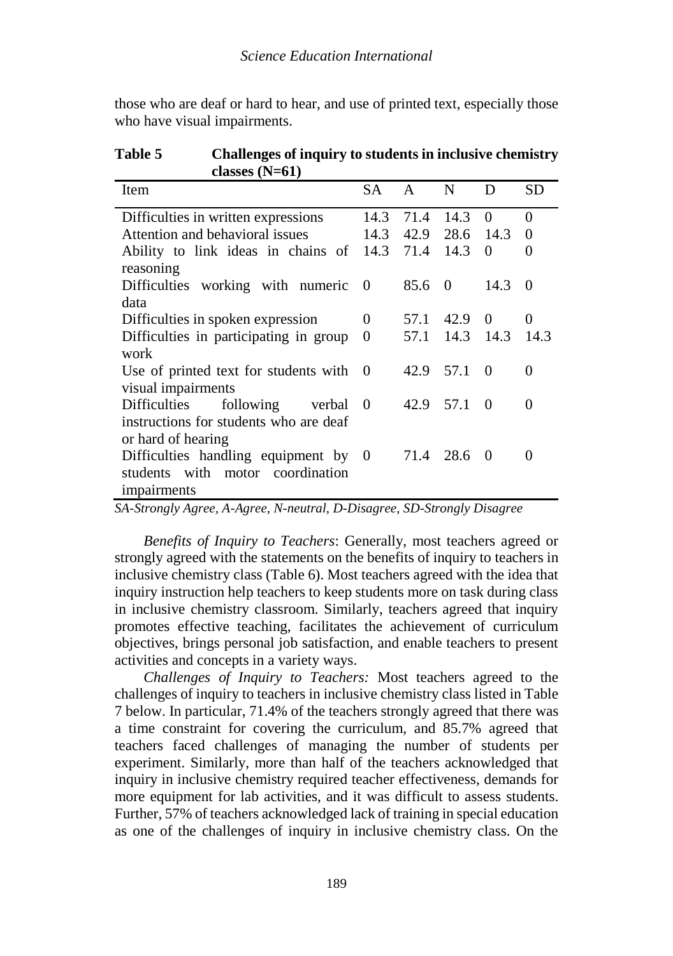those who are deaf or hard to hear, and use of printed text, especially those who have visual impairments.

| classes $(N=61)$                               |                |              |           |            |          |
|------------------------------------------------|----------------|--------------|-----------|------------|----------|
| Item                                           | SA.            | $\mathbf{A}$ | N         | D          | SD       |
| Difficulties in written expressions            | 14.3           | 71.4         | 14.3      | $\theta$   | 0        |
| Attention and behavioral issues                | 14.3           | 42.9         | 28.6      | 14.3       | 0        |
| Ability to link ideas in chains of             | 14.3           | 71.4         | 14.3      | 0          | 0        |
| reasoning                                      |                |              |           |            |          |
| Difficulties working with numeric              | - 0            | 85.6         | $\theta$  | 14.3       | $\theta$ |
| data                                           |                |              |           |            |          |
| Difficulties in spoken expression              | $^{(1)}$       | 57.1         | 42.9      | $\theta$   | $^{(1)}$ |
| Difficulties in participating in group         | 0              | 57.1         |           | 14.3 14.3  | 14.3     |
| work                                           |                |              |           |            |          |
| Use of printed text for students with $\theta$ |                | 42.9 57.1    |           | $\Omega$   | 0        |
| visual impairments                             |                |              |           |            |          |
| Difficulties<br>following verbal               | - 0            | 42.9         | 57.1      | $\Omega$   | 0        |
| instructions for students who are deaf         |                |              |           |            |          |
| or hard of hearing                             |                |              |           |            |          |
| Difficulties handling equipment by             | $\overline{0}$ |              | 71.4 28.6 | $\bigcirc$ | 0        |
| students with motor coordination               |                |              |           |            |          |
| impairments                                    |                |              |           |            |          |

**Table 5 Challenges of inquiry to students in inclusive chemistry classes (N=61)**

*SA-Strongly Agree, A-Agree, N-neutral, D-Disagree, SD-Strongly Disagree*

*Benefits of Inquiry to Teachers*: Generally, most teachers agreed or strongly agreed with the statements on the benefits of inquiry to teachers in inclusive chemistry class (Table 6). Most teachers agreed with the idea that inquiry instruction help teachers to keep students more on task during class in inclusive chemistry classroom. Similarly, teachers agreed that inquiry promotes effective teaching, facilitates the achievement of curriculum objectives, brings personal job satisfaction, and enable teachers to present activities and concepts in a variety ways.

*Challenges of Inquiry to Teachers:* Most teachers agreed to the challenges of inquiry to teachers in inclusive chemistry class listed in Table 7 below. In particular, 71.4% of the teachers strongly agreed that there was a time constraint for covering the curriculum, and 85.7% agreed that teachers faced challenges of managing the number of students per experiment. Similarly, more than half of the teachers acknowledged that inquiry in inclusive chemistry required teacher effectiveness, demands for more equipment for lab activities, and it was difficult to assess students. Further, 57% of teachers acknowledged lack of training in special education as one of the challenges of inquiry in inclusive chemistry class. On the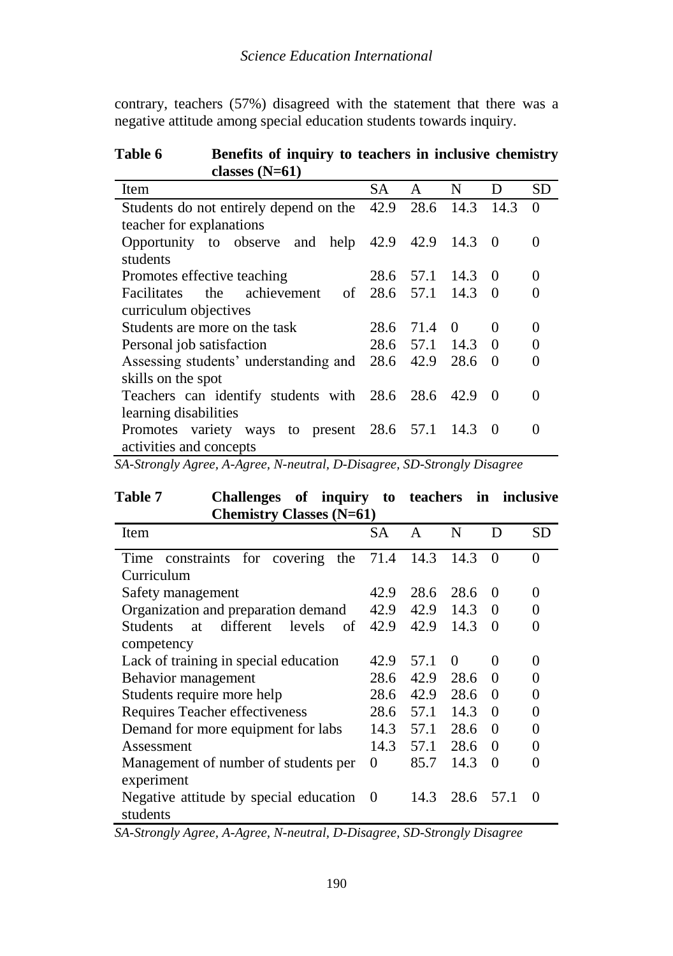contrary, teachers (57%) disagreed with the statement that there was a negative attitude among special education students towards inquiry.

| $\text{classes} \left( \text{N=01} \right)$    |      |           |           |          |           |
|------------------------------------------------|------|-----------|-----------|----------|-----------|
| Item                                           | SA.  | A         | N         | D        | <b>SD</b> |
| Students do not entirely depend on the         | 42.9 | 28.6      | 14.3 14.3 |          | $\Omega$  |
| teacher for explanations                       |      |           |           |          |           |
| Opportunity to observe and help                |      | 42.9 42.9 | 14.3      | $\theta$ | 0         |
| students                                       |      |           |           |          |           |
| Promotes effective teaching                    | 28.6 | 57.1      | 14.3      | $\Omega$ | 0         |
| achievement<br><b>Facilitates</b><br>the<br>of | 28.6 | 57.1      | 14.3      | $\Omega$ | 0         |
| curriculum objectives                          |      |           |           |          |           |
| Students are more on the task                  | 28.6 | 71.4      | $\theta$  | $\theta$ | 0         |
| Personal job satisfaction                      | 28.6 | 57.1      | 14.3      | $\Omega$ | $\theta$  |
| Assessing students' understanding and 28.6     |      | 42.9      | 28.6      | $\Omega$ | $\theta$  |
| skills on the spot                             |      |           |           |          |           |
| Teachers can identify students with 28.6 28.6  |      |           | 42.9      | $\Omega$ | $\Omega$  |
| learning disabilities                          |      |           |           |          |           |
| Promotes variety ways to present 28.6 57.1     |      |           | 14.3      | $\theta$ | $\Omega$  |
| activities and concepts                        |      |           |           |          |           |

**Table 6 Benefits of inquiry to teachers in inclusive chemistry classes (N=61)**

*SA-Strongly Agree, A-Agree, N-neutral, D-Disagree, SD-Strongly Disagree*

| Table 7 | Challenges of inquiry to teachers in inclusive |  |  |  |
|---------|------------------------------------------------|--|--|--|
|         | <b>Chemistry Classes <math>(N=61)</math></b>   |  |  |  |

| Item                                        | SА   | A    | N        | D        | SD       |
|---------------------------------------------|------|------|----------|----------|----------|
| Time constraints for covering<br>the        | 71.4 | 14.3 | 14.3     | $\Omega$ | 0        |
| Curriculum                                  |      |      |          |          |          |
| Safety management                           | 42.9 | 28.6 | 28.6     | $\Omega$ | $\theta$ |
| Organization and preparation demand         | 42.9 | 42.9 | 14.3     | $\Omega$ | 0        |
| different<br>Students<br>levels<br>οf<br>at | 42.9 | 42.9 | 14.3     | $\Omega$ | 0        |
| competency                                  |      |      |          |          |          |
| Lack of training in special education       | 42.9 | 57.1 | $\Omega$ | $\Omega$ | 0        |
| Behavior management                         | 28.6 | 42.9 | 28.6     | $\Omega$ | 0        |
| Students require more help                  | 28.6 | 42.9 | 28.6     | $\Omega$ | 0        |
| Requires Teacher effectiveness              | 28.6 | 57.1 | 14.3     | $\Omega$ | 0        |
| Demand for more equipment for labs          | 14.3 | 57.1 | 28.6     | $\theta$ | 0        |
| Assessment                                  | 14.3 | 57.1 | 28.6     | $\Omega$ | 0        |
| Management of number of students per        |      | 85.7 | 14.3     | $\theta$ |          |
| experiment                                  |      |      |          |          |          |
| Negative attitude by special education      |      | 14.3 | 28.6     | 57.1     | $\theta$ |
| students                                    |      |      |          |          |          |

*SA-Strongly Agree, A-Agree, N-neutral, D-Disagree, SD-Strongly Disagree*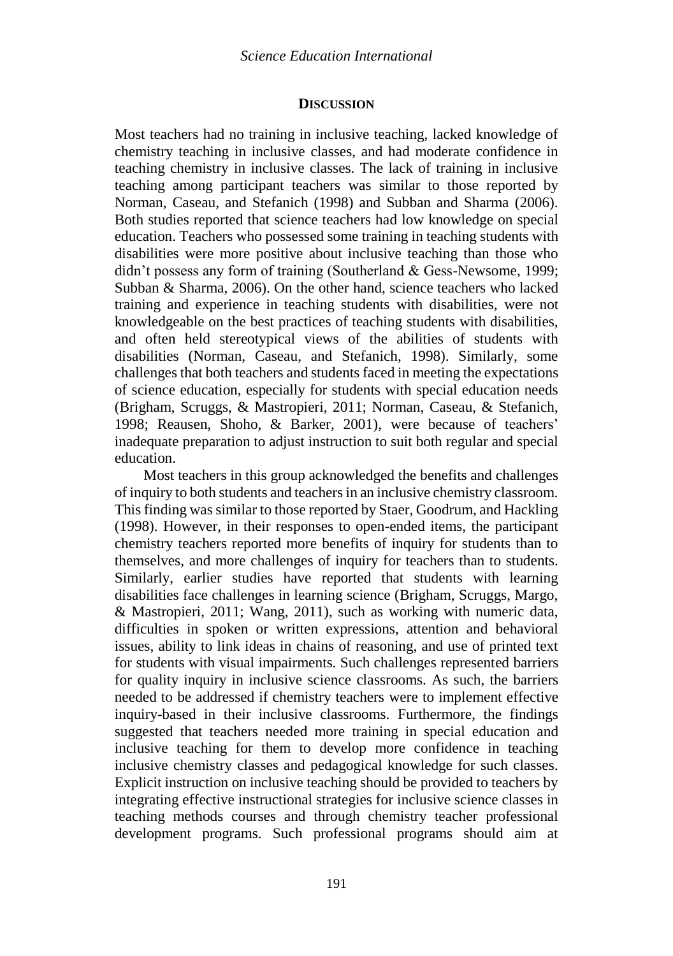#### **DISCUSSION**

Most teachers had no training in inclusive teaching, lacked knowledge of chemistry teaching in inclusive classes, and had moderate confidence in teaching chemistry in inclusive classes. The lack of training in inclusive teaching among participant teachers was similar to those reported by Norman, Caseau, and Stefanich (1998) and Subban and Sharma (2006). Both studies reported that science teachers had low knowledge on special education. Teachers who possessed some training in teaching students with disabilities were more positive about inclusive teaching than those who didn't possess any form of training (Southerland & Gess-Newsome, 1999; Subban & Sharma, 2006). On the other hand, science teachers who lacked training and experience in teaching students with disabilities, were not knowledgeable on the best practices of teaching students with disabilities, and often held stereotypical views of the abilities of students with disabilities (Norman, Caseau, and Stefanich, 1998). Similarly, some challenges that both teachers and students faced in meeting the expectations of science education, especially for students with special education needs (Brigham, Scruggs, & Mastropieri, 2011; Norman, Caseau, & Stefanich, 1998; Reausen, Shoho, & Barker, 2001), were because of teachers' inadequate preparation to adjust instruction to suit both regular and special education.

Most teachers in this group acknowledged the benefits and challenges of inquiry to both students and teachers in an inclusive chemistry classroom. This finding was similar to those reported by Staer, Goodrum, and Hackling (1998). However, in their responses to open-ended items, the participant chemistry teachers reported more benefits of inquiry for students than to themselves, and more challenges of inquiry for teachers than to students. Similarly, earlier studies have reported that students with learning disabilities face challenges in learning science (Brigham, Scruggs, Margo, & Mastropieri, 2011; Wang, 2011), such as working with numeric data, difficulties in spoken or written expressions, attention and behavioral issues, ability to link ideas in chains of reasoning, and use of printed text for students with visual impairments. Such challenges represented barriers for quality inquiry in inclusive science classrooms. As such, the barriers needed to be addressed if chemistry teachers were to implement effective inquiry-based in their inclusive classrooms. Furthermore, the findings suggested that teachers needed more training in special education and inclusive teaching for them to develop more confidence in teaching inclusive chemistry classes and pedagogical knowledge for such classes. Explicit instruction on inclusive teaching should be provided to teachers by integrating effective instructional strategies for inclusive science classes in teaching methods courses and through chemistry teacher professional development programs. Such professional programs should aim at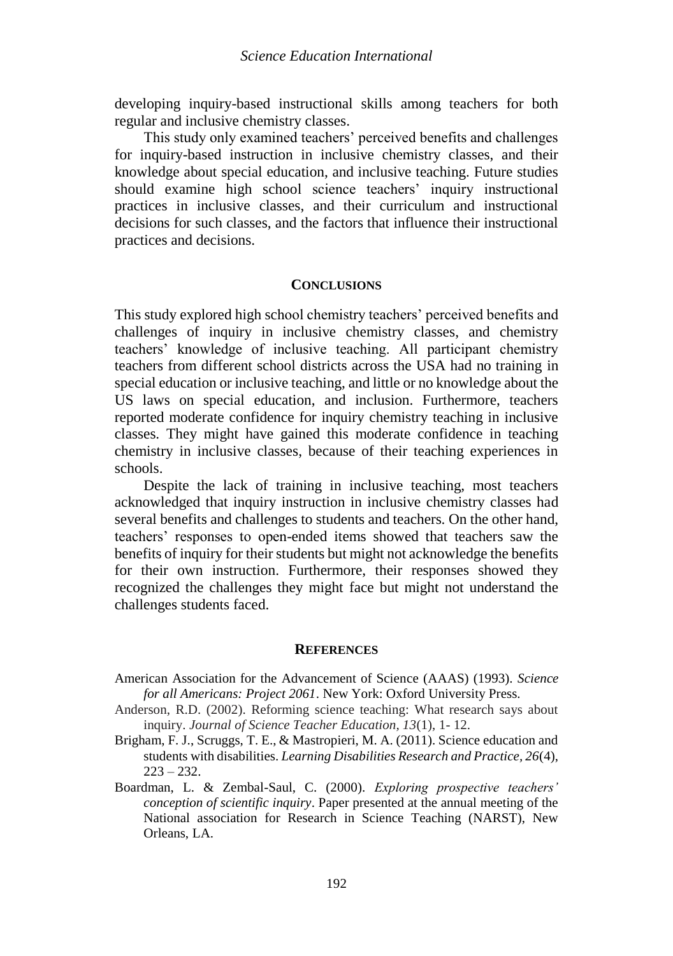developing inquiry-based instructional skills among teachers for both regular and inclusive chemistry classes.

This study only examined teachers' perceived benefits and challenges for inquiry-based instruction in inclusive chemistry classes, and their knowledge about special education, and inclusive teaching. Future studies should examine high school science teachers' inquiry instructional practices in inclusive classes, and their curriculum and instructional decisions for such classes, and the factors that influence their instructional practices and decisions.

### **CONCLUSIONS**

This study explored high school chemistry teachers' perceived benefits and challenges of inquiry in inclusive chemistry classes, and chemistry teachers' knowledge of inclusive teaching. All participant chemistry teachers from different school districts across the USA had no training in special education or inclusive teaching, and little or no knowledge about the US laws on special education, and inclusion. Furthermore, teachers reported moderate confidence for inquiry chemistry teaching in inclusive classes. They might have gained this moderate confidence in teaching chemistry in inclusive classes, because of their teaching experiences in schools.

Despite the lack of training in inclusive teaching, most teachers acknowledged that inquiry instruction in inclusive chemistry classes had several benefits and challenges to students and teachers. On the other hand, teachers' responses to open-ended items showed that teachers saw the benefits of inquiry for their students but might not acknowledge the benefits for their own instruction. Furthermore, their responses showed they recognized the challenges they might face but might not understand the challenges students faced.

#### **REFERENCES**

- American Association for the Advancement of Science (AAAS) (1993). *Science for all Americans: Project 2061*. New York: Oxford University Press.
- Anderson, R.D. (2002). Reforming science teaching: What research says about inquiry. *Journal of Science Teacher Education, 13*(1), 1- 12.
- Brigham, F. J., Scruggs, T. E., & Mastropieri, M. A. (2011). Science education and students with disabilities. *Learning Disabilities Research and Practice, 26*(4), 223 – 232.
- Boardman, L. & Zembal-Saul, C. (2000). *Exploring prospective teachers' conception of scientific inquiry*. Paper presented at the annual meeting of the National association for Research in Science Teaching (NARST), New Orleans, LA.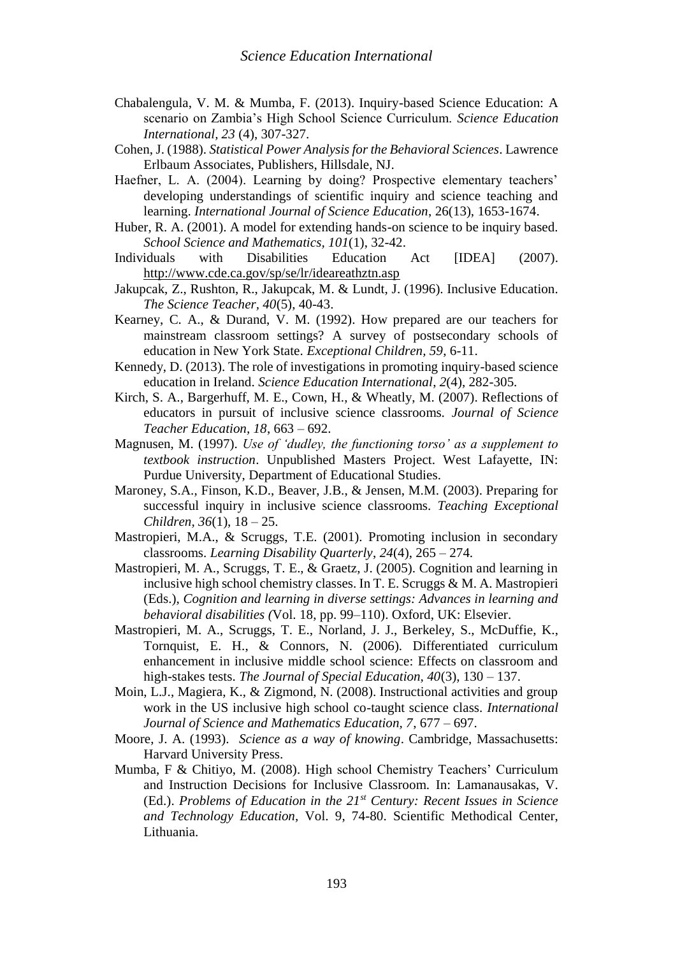- Chabalengula, V. M. & Mumba, F. (2013). Inquiry-based Science Education: A scenario on Zambia's High School Science Curriculum. *Science Education International, 23* (4), 307-327.
- Cohen, J. (1988). *Statistical Power Analysis for the Behavioral Sciences*. Lawrence Erlbaum Associates, Publishers, Hillsdale, NJ.
- Haefner, L. A. (2004). Learning by doing? Prospective elementary teachers' developing understandings of scientific inquiry and science teaching and learning. *International Journal of Science Education*, 26(13), 1653-1674.
- Huber, R. A. (2001). A model for extending hands-on science to be inquiry based. *School Science and Mathematics, 101*(1), 32-42.
- Individuals with Disabilities Education Act [IDEA] (2007). <http://www.cde.ca.gov/sp/se/lr/ideareathztn.asp>
- Jakupcak, Z., Rushton, R., Jakupcak, M. & Lundt, J. (1996). Inclusive Education. *The Science Teacher, 40*(5), 40-43.
- Kearney, C. A., & Durand, V. M. (1992). How prepared are our teachers for mainstream classroom settings? A survey of postsecondary schools of education in New York State. *Exceptional Children, 59*, 6-11.
- Kennedy, D. (2013). The role of investigations in promoting inquiry-based science education in Ireland. *Science Education International*, *2*(4), 282-305.
- Kirch, S. A., Bargerhuff, M. E., Cown, H., & Wheatly, M. (2007). Reflections of educators in pursuit of inclusive science classrooms. *Journal of Science Teacher Education, 18*, 663 – 692.
- Magnusen, M. (1997). *Use of 'dudley, the functioning torso' as a supplement to textbook instruction*. Unpublished Masters Project. West Lafayette, IN: Purdue University, Department of Educational Studies.
- Maroney, S.A., Finson, K.D., Beaver, J.B., & Jensen, M.M. (2003). Preparing for successful inquiry in inclusive science classrooms. *Teaching Exceptional Children, 36*(1), 18 – 25.
- Mastropieri, M.A., & Scruggs, T.E. (2001). Promoting inclusion in secondary classrooms. *Learning Disability Quarterly*, *24*(4), 265 – 274.
- Mastropieri, M. A., Scruggs, T. E., & Graetz, J. (2005). Cognition and learning in inclusive high school chemistry classes. In T. E. Scruggs & M. A. Mastropieri (Eds.), *Cognition and learning in diverse settings: Advances in learning and behavioral disabilities (*Vol. 18, pp. 99–110). Oxford, UK: Elsevier.
- Mastropieri, M. A., Scruggs, T. E., Norland, J. J., Berkeley, S., McDuffie, K., Tornquist, E. H., & Connors, N. (2006). Differentiated curriculum enhancement in inclusive middle school science: Effects on classroom and high-stakes tests. *The Journal of Special Education, 40*(3), 130 – 137.
- Moin, L.J., Magiera, K., & Zigmond, N. (2008). Instructional activities and group work in the US inclusive high school co-taught science class. *International Journal of Science and Mathematics Education, 7*, 677 – 697.
- Moore, J. A. (1993). *Science as a way of knowing*. Cambridge, Massachusetts: Harvard University Press.
- Mumba, F & Chitiyo, M. (2008). High school Chemistry Teachers' Curriculum and Instruction Decisions for Inclusive Classroom. In: Lamanausakas, V. (Ed.). *Problems of Education in the 21st Century: Recent Issues in Science and Technology Education,* Vol. 9, 74-80. Scientific Methodical Center, Lithuania.